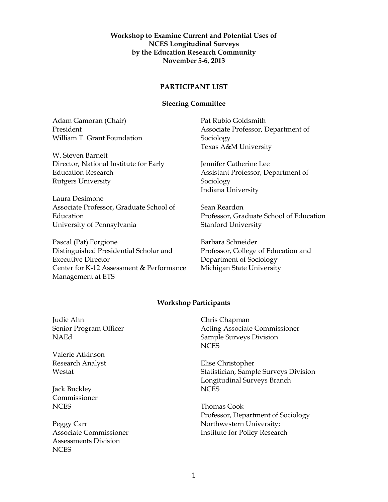## **Workshop to Examine Current and Potential Uses of NCES Longitudinal Surveys by the Education Research Community November 5-6, 2013**

## **PARTICIPANT LIST**

## **Steering Committee**

Adam Gamoran (Chair) President William T. Grant Foundation

W. Steven Barnett Director, National Institute for Early Education Research Rutgers University

Laura Desimone Associate Professor, Graduate School of Education University of Pennsylvania

Pascal (Pat) Forgione Distinguished Presidential Scholar and Executive Director Center for K-12 Assessment & Performance Management at ETS

Pat Rubio Goldsmith Associate Professor, Department of Sociology Texas A&M University

Jennifer Catherine Lee Assistant Professor, Department of Sociology Indiana University

Sean Reardon Professor, Graduate School of Education Stanford University

Barbara Schneider Professor, College of Education and Department of Sociology Michigan State University

## **Workshop Participants**

Judie Ahn Senior Program Officer NAEd

Valerie Atkinson Research Analyst Westat

Jack Buckley Commissioner NCES

Peggy Carr Associate Commissioner Assessments Division **NCES** 

Chris Chapman Acting Associate Commissioner Sample Surveys Division **NCES** 

Elise Christopher Statistician, Sample Surveys Division Longitudinal Surveys Branch **NCES** 

Thomas Cook Professor, Department of Sociology Northwestern University; Institute for Policy Research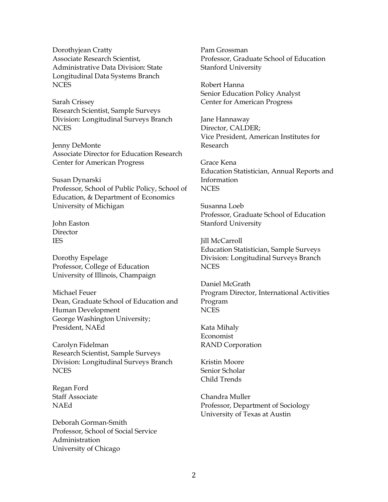Dorothyjean Cratty Associate Research Scientist, Administrative Data Division: State Longitudinal Data Systems Branch NCES

Sarah Crissey Research Scientist, Sample Surveys Division: Longitudinal Surveys Branch **NCES** 

Jenny DeMonte Associate Director for Education Research Center for American Progress

Susan Dynarski Professor, School of Public Policy, School of Education, & Department of Economics University of Michigan

John Easton Director IES

Dorothy Espelage Professor, College of Education University of Illinois, Champaign

Michael Feuer Dean, Graduate School of Education and Human Development George Washington University; President, NAEd

Carolyn Fidelman Research Scientist, Sample Surveys Division: Longitudinal Surveys Branch NCES

Regan Ford Staff Associate NAEd

Deborah Gorman-Smith Professor, School of Social Service Administration University of Chicago

Pam Grossman Professor, Graduate School of Education Stanford University

Robert Hanna Senior Education Policy Analyst Center for American Progress

Jane Hannaway Director, CALDER; Vice President, American Institutes for Research

Grace Kena Education Statistician, Annual Reports and Information **NCES** 

Susanna Loeb Professor, Graduate School of Education Stanford University

Jill McCarroll Education Statistician, Sample Surveys Division: Longitudinal Surveys Branch **NCES** 

Daniel McGrath Program Director, International Activities Program **NCES** 

Kata Mihaly Economist RAND Corporation

Kristin Moore Senior Scholar Child Trends

Chandra Muller Professor, Department of Sociology University of Texas at Austin